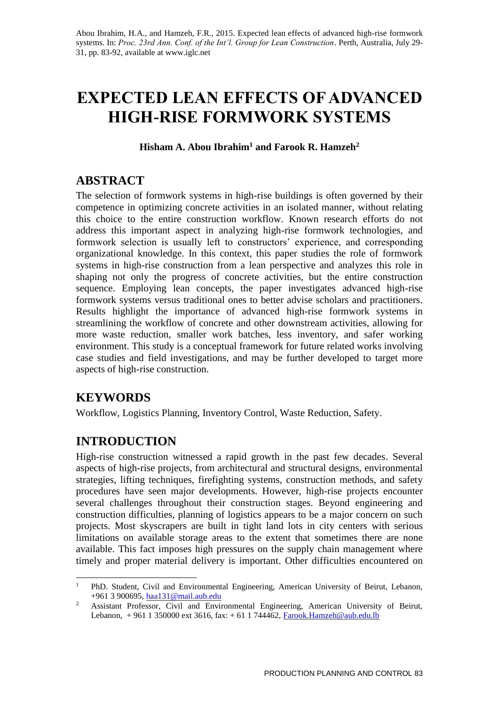# **EXPECTED LEAN EFFECTS OF ADVANCED HIGH-RISE FORMWORK SYSTEMS**

**Hisham A. Abou Ibrahim<sup>1</sup> and Farook R. Hamzeh<sup>2</sup>**

# **ABSTRACT**

The selection of formwork systems in high-rise buildings is often governed by their competence in optimizing concrete activities in an isolated manner, without relating this choice to the entire construction workflow. Known research efforts do not address this important aspect in analyzing high-rise formwork technologies, and formwork selection is usually left to constructors' experience, and corresponding organizational knowledge. In this context, this paper studies the role of formwork systems in high-rise construction from a lean perspective and analyzes this role in shaping not only the progress of concrete activities, but the entire construction sequence. Employing lean concepts, the paper investigates advanced high-rise formwork systems versus traditional ones to better advise scholars and practitioners. Results highlight the importance of advanced high-rise formwork systems in streamlining the workflow of concrete and other downstream activities, allowing for more waste reduction, smaller work batches, less inventory, and safer working environment. This study is a conceptual framework for future related works involving case studies and field investigations, and may be further developed to target more aspects of high-rise construction.

# **KEYWORDS**

Workflow, Logistics Planning, Inventory Control, Waste Reduction, Safety.

# **INTRODUCTION**

High-rise construction witnessed a rapid growth in the past few decades. Several aspects of high-rise projects, from architectural and structural designs, environmental strategies, lifting techniques, firefighting systems, construction methods, and safety procedures have seen major developments. However, high-rise projects encounter several challenges throughout their construction stages. Beyond engineering and construction difficulties, planning of logistics appears to be a major concern on such projects. Most skyscrapers are built in tight land lots in city centers with serious limitations on available storage areas to the extent that sometimes there are none available. This fact imposes high pressures on the supply chain management where timely and proper material delivery is important. Other difficulties encountered on

<sup>1</sup> <sup>1</sup> PhD. Student, Civil and Environmental Engineering, American University of Beirut, Lebanon, +961 3 900695, [haa131@mail.aub.edu](mailto:haa131@mail.aub.edu)

<sup>&</sup>lt;sup>2</sup> Assistant Professor, Civil and Environmental Engineering, American University of Beirut, Lebanon, + 961 1 350000 ext 3616, fax: + 61 1 744462, Farook. Hamzeh@aub.edu.lb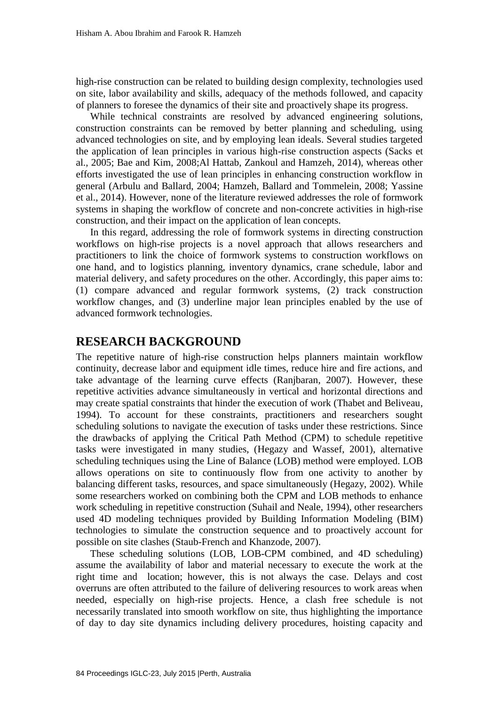high-rise construction can be related to building design complexity, technologies used on site, labor availability and skills, adequacy of the methods followed, and capacity of planners to foresee the dynamics of their site and proactively shape its progress.

While technical constraints are resolved by advanced engineering solutions, construction constraints can be removed by better planning and scheduling, using advanced technologies on site, and by employing lean ideals. Several studies targeted the application of lean principles in various high-rise construction aspects (Sacks et al., 2005; Bae and Kim, 2008;Al Hattab, Zankoul and Hamzeh, 2014), whereas other efforts investigated the use of lean principles in enhancing construction workflow in general (Arbulu and Ballard, 2004; Hamzeh, Ballard and Tommelein, 2008; Yassine et al., 2014). However, none of the literature reviewed addresses the role of formwork systems in shaping the workflow of concrete and non-concrete activities in high-rise construction, and their impact on the application of lean concepts.

In this regard, addressing the role of formwork systems in directing construction workflows on high-rise projects is a novel approach that allows researchers and practitioners to link the choice of formwork systems to construction workflows on one hand, and to logistics planning, inventory dynamics, crane schedule, labor and material delivery, and safety procedures on the other. Accordingly, this paper aims to: (1) compare advanced and regular formwork systems, (2) track construction workflow changes, and (3) underline major lean principles enabled by the use of advanced formwork technologies.

#### **RESEARCH BACKGROUND**

The repetitive nature of high-rise construction helps planners maintain workflow continuity, decrease labor and equipment idle times, reduce hire and fire actions, and take advantage of the learning curve effects (Ranjbaran, 2007). However, these repetitive activities advance simultaneously in vertical and horizontal directions and may create spatial constraints that hinder the execution of work (Thabet and Beliveau, 1994). To account for these constraints, practitioners and researchers sought scheduling solutions to navigate the execution of tasks under these restrictions. Since the drawbacks of applying the Critical Path Method (CPM) to schedule repetitive tasks were investigated in many studies, (Hegazy and Wassef, 2001), alternative scheduling techniques using the Line of Balance (LOB) method were employed. LOB allows operations on site to continuously flow from one activity to another by balancing different tasks, resources, and space simultaneously (Hegazy, 2002). While some researchers worked on combining both the CPM and LOB methods to enhance work scheduling in repetitive construction (Suhail and Neale, 1994), other researchers used 4D modeling techniques provided by Building Information Modeling (BIM) technologies to simulate the construction sequence and to proactively account for possible on site clashes (Staub-French and Khanzode, 2007).

These scheduling solutions (LOB, LOB-CPM combined, and 4D scheduling) assume the availability of labor and material necessary to execute the work at the right time and location; however, this is not always the case. Delays and cost overruns are often attributed to the failure of delivering resources to work areas when needed, especially on high-rise projects. Hence, a clash free schedule is not necessarily translated into smooth workflow on site, thus highlighting the importance of day to day site dynamics including delivery procedures, hoisting capacity and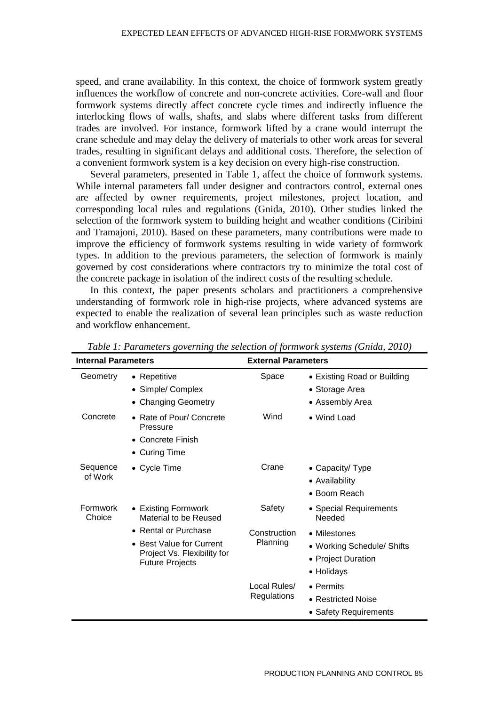speed, and crane availability. In this context, the choice of formwork system greatly influences the workflow of concrete and non-concrete activities. Core-wall and floor formwork systems directly affect concrete cycle times and indirectly influence the interlocking flows of walls, shafts, and slabs where different tasks from different trades are involved. For instance, formwork lifted by a crane would interrupt the crane schedule and may delay the delivery of materials to other work areas for several trades, resulting in significant delays and additional costs. Therefore, the selection of a convenient formwork system is a key decision on every high-rise construction.

Several parameters, presented in Table 1, affect the choice of formwork systems. While internal parameters fall under designer and contractors control, external ones are affected by owner requirements, project milestones, project location, and corresponding local rules and regulations (Gnida, 2010). Other studies linked the selection of the formwork system to building height and weather conditions (Ciribini and Tramajoni, 2010). Based on these parameters, many contributions were made to improve the efficiency of formwork systems resulting in wide variety of formwork types. In addition to the previous parameters, the selection of formwork is mainly governed by cost considerations where contractors try to minimize the total cost of the concrete package in isolation of the indirect costs of the resulting schedule.

In this context, the paper presents scholars and practitioners a comprehensive understanding of formwork role in high-rise projects, where advanced systems are expected to enable the realization of several lean principles such as waste reduction and workflow enhancement.

| <b>Internal Parameters</b> |                                                                                                           | <b>External Parameters</b>         |                                                                                |  |
|----------------------------|-----------------------------------------------------------------------------------------------------------|------------------------------------|--------------------------------------------------------------------------------|--|
| Geometry                   | • Repetitive<br>• Simple/ Complex<br>• Changing Geometry                                                  | Space                              | • Existing Road or Building<br>• Storage Area<br>• Assembly Area               |  |
| Concrete                   | • Rate of Pour/ Concrete<br>Pressure<br>• Concrete Finish<br>• Curing Time                                | Wind                               | • Wind Load                                                                    |  |
| Sequence<br>of Work        | • Cycle Time                                                                                              | Crane                              | • Capacity/ Type<br>• Availability<br>• Boom Reach                             |  |
| Formwork<br>Choice         | • Existing Formwork<br>Material to be Reused                                                              | Safety                             | • Special Requirements<br>Needed                                               |  |
|                            | • Rental or Purchase<br>• Best Value for Current<br>Project Vs. Flexibility for<br><b>Future Projects</b> | Construction<br>Planning           | • Milestones<br>• Working Schedule/ Shifts<br>• Project Duration<br>• Holidays |  |
|                            |                                                                                                           | Local Rules/<br><b>Regulations</b> | • Permits<br>• Restricted Noise<br>• Safety Requirements                       |  |

*Table 1: Parameters governing the selection of formwork systems (Gnida, 2010)*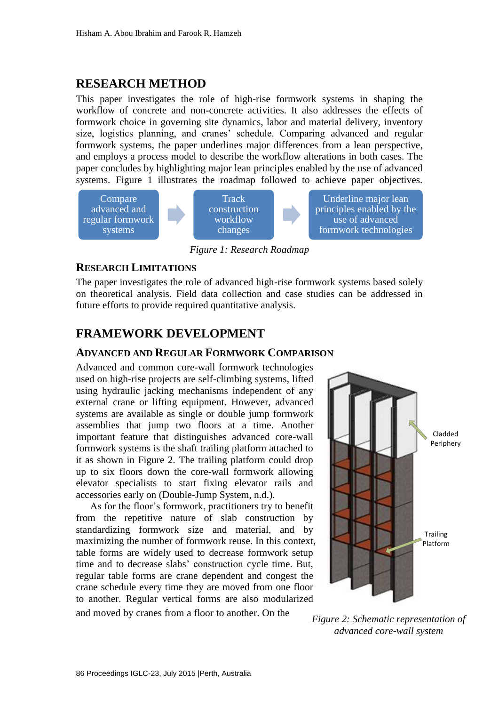### **RESEARCH METHOD**

This paper investigates the role of high-rise formwork systems in shaping the workflow of concrete and non-concrete activities. It also addresses the effects of formwork choice in governing site dynamics, labor and material delivery, inventory size, logistics planning, and cranes' schedule. Comparing advanced and regular formwork systems, the paper underlines major differences from a lean perspective, and employs a process model to describe the workflow alterations in both cases. The paper concludes by highlighting major lean principles enabled by the use of advanced systems. Figure 1 illustrates the roadmap followed to achieve paper objectives.



*Figure 1: Research Roadmap*

#### **RESEARCH LIMITATIONS**

The paper investigates the role of advanced high-rise formwork systems based solely on theoretical analysis. Field data collection and case studies can be addressed in future efforts to provide required quantitative analysis.

### **FRAMEWORK DEVELOPMENT**

#### **ADVANCED AND REGULAR FORMWORK COMPARISON**

Advanced and common core-wall formwork technologies used on high-rise projects are self-climbing systems, lifted using hydraulic jacking mechanisms independent of any external crane or lifting equipment. However, advanced systems are available as single or double jump formwork assemblies that jump two floors at a time. Another important feature that distinguishes advanced core-wall formwork systems is the shaft trailing platform attached to it as shown in Figure 2. The trailing platform could drop up to six floors down the core-wall formwork allowing elevator specialists to start fixing elevator rails and accessories early on (Double-Jump System, n.d.).

As for the floor's formwork, practitioners try to benefit from the repetitive nature of slab construction by standardizing formwork size and material, and by maximizing the number of formwork reuse. In this context, table forms are widely used to decrease formwork setup time and to decrease slabs' construction cycle time. But, regular table forms are crane dependent and congest the crane schedule every time they are moved from one floor to another. Regular vertical forms are also modularized and moved by cranes from a floor to another. On the



*Figure 2: Schematic representation of advanced core-wall system*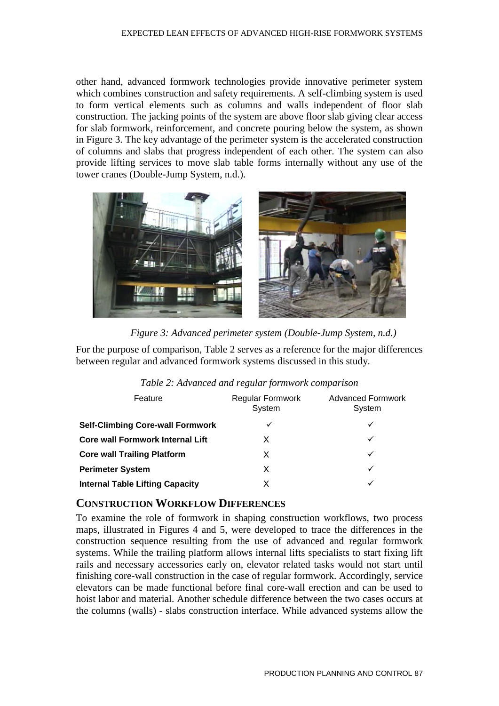other hand, advanced formwork technologies provide innovative perimeter system which combines construction and safety requirements. A self-climbing system is used to form vertical elements such as columns and walls independent of floor slab construction. The jacking points of the system are above floor slab giving clear access for slab formwork, reinforcement, and concrete pouring below the system, as shown in Figure 3. The key advantage of the perimeter system is the accelerated construction of columns and slabs that progress independent of each other. The system can also provide lifting services to move slab table forms internally without any use of the tower cranes (Double-Jump System, n.d.).



*Figure 3: Advanced perimeter system (Double-Jump System, n.d.)*

For the purpose of comparison, Table 2 serves as a reference for the major differences between regular and advanced formwork systems discussed in this study.

| Table 2: Advanced and regular formwork comparison |  |  |  |  |
|---------------------------------------------------|--|--|--|--|
|---------------------------------------------------|--|--|--|--|

| Feature                                 | Regular Formwork<br>System | <b>Advanced Formwork</b><br>System |
|-----------------------------------------|----------------------------|------------------------------------|
| <b>Self-Climbing Core-wall Formwork</b> |                            |                                    |
| <b>Core wall Formwork Internal Lift</b> | X                          |                                    |
| <b>Core wall Trailing Platform</b>      | X                          |                                    |
| <b>Perimeter System</b>                 | х                          |                                    |
| <b>Internal Table Lifting Capacity</b>  |                            |                                    |

#### **CONSTRUCTION WORKFLOW DIFFERENCES**

To examine the role of formwork in shaping construction workflows, two process maps, illustrated in Figures 4 and 5, were developed to trace the differences in the construction sequence resulting from the use of advanced and regular formwork systems. While the trailing platform allows internal lifts specialists to start fixing lift rails and necessary accessories early on, elevator related tasks would not start until finishing core-wall construction in the case of regular formwork. Accordingly, service elevators can be made functional before final core-wall erection and can be used to hoist labor and material. Another schedule difference between the two cases occurs at the columns (walls) - slabs construction interface. While advanced systems allow the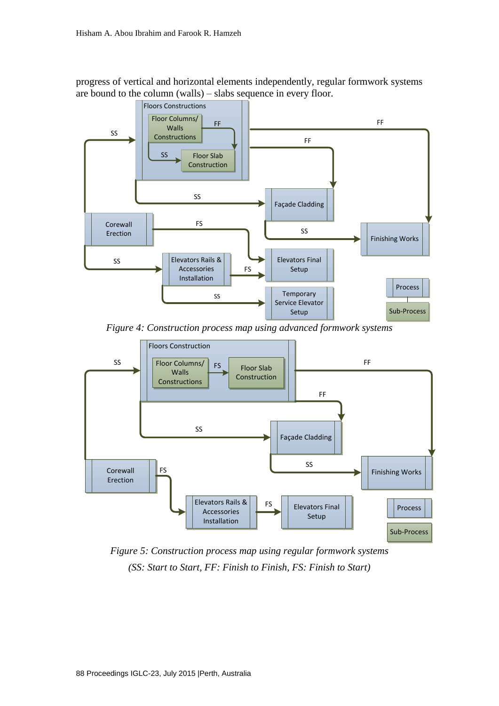progress of vertical and horizontal elements independently, regular formwork systems are bound to the column (walls) – slabs sequence in every floor.



*Figure 4: Construction process map using advanced formwork systems*



*Figure 5: Construction process map using regular formwork systems (SS: Start to Start, FF: Finish to Finish, FS: Finish to Start)*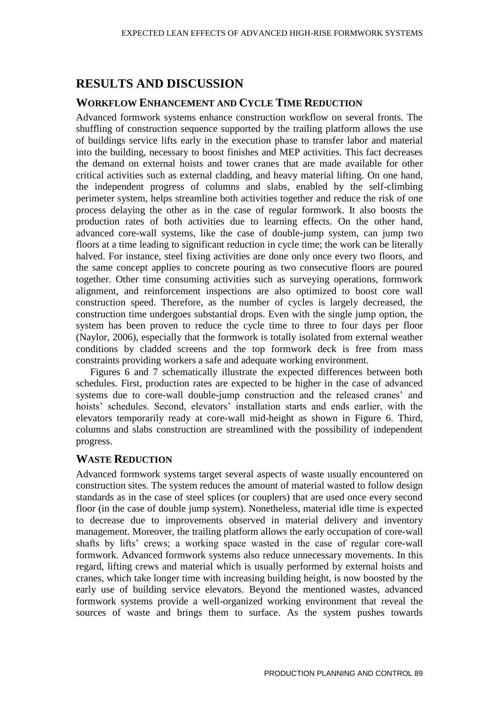## **RESULTS AND DISCUSSION**

#### **WORKFLOW ENHANCEMENT AND CYCLE TIME REDUCTION**

Advanced formwork systems enhance construction workflow on several fronts. The shuffling of construction sequence supported by the trailing platform allows the use of buildings service lifts early in the execution phase to transfer labor and material into the building, necessary to boost finishes and MEP activities. This fact decreases the demand on external hoists and tower cranes that are made available for other critical activities such as external cladding, and heavy material lifting. On one hand, the independent progress of columns and slabs, enabled by the self-climbing perimeter system, helps streamline both activities together and reduce the risk of one process delaying the other as in the case of regular formwork. It also boosts the production rates of both activities due to learning effects. On the other hand, advanced core-wall systems, like the case of double-jump system, can jump two floors at a time leading to significant reduction in cycle time; the work can be literally halved. For instance, steel fixing activities are done only once every two floors, and the same concept applies to concrete pouring as two consecutive floors are poured together. Other time consuming activities such as surveying operations, formwork alignment, and reinforcement inspections are also optimized to boost core wall construction speed. Therefore, as the number of cycles is largely decreased, the construction time undergoes substantial drops. Even with the single jump option, the system has been proven to reduce the cycle time to three to four days per floor (Naylor, 2006), especially that the formwork is totally isolated from external weather conditions by cladded screens and the top formwork deck is free from mass constraints providing workers a safe and adequate working environment.

Figures 6 and 7 schematically illustrate the expected differences between both schedules. First, production rates are expected to be higher in the case of advanced systems due to core-wall double-jump construction and the released cranes' and hoists' schedules. Second, elevators' installation starts and ends earlier, with the elevators temporarily ready at core-wall mid-height as shown in Figure 6. Third, columns and slabs construction are streamlined with the possibility of independent progress.

#### **WASTE REDUCTION**

Advanced formwork systems target several aspects of waste usually encountered on construction sites. The system reduces the amount of material wasted to follow design standards as in the case of steel splices (or couplers) that are used once every second floor (in the case of double jump system). Nonetheless, material idle time is expected to decrease due to improvements observed in material delivery and inventory management. Moreover, the trailing platform allows the early occupation of core-wall shafts by lifts' crews; a working space wasted in the case of regular core-wall formwork. Advanced formwork systems also reduce unnecessary movements. In this regard, lifting crews and material which is usually performed by external hoists and cranes, which take longer time with increasing building height, is now boosted by the early use of building service elevators. Beyond the mentioned wastes, advanced formwork systems provide a well-organized working environment that reveal the sources of waste and brings them to surface. As the system pushes towards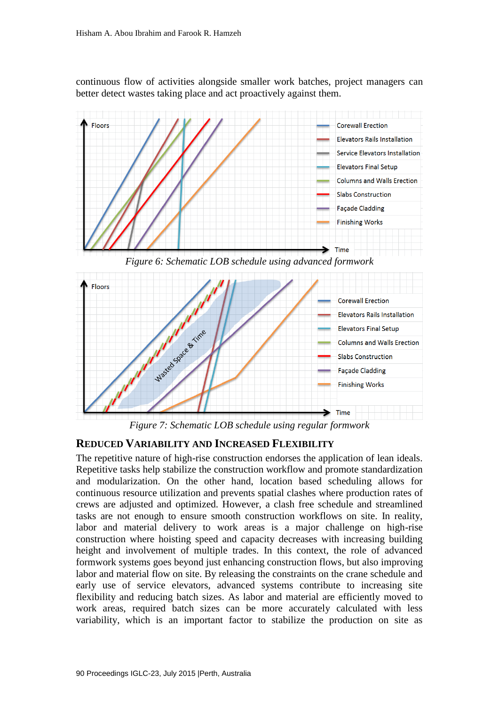continuous flow of activities alongside smaller work batches, project managers can better detect wastes taking place and act proactively against them.



*Figure 6: Schematic LOB schedule using advanced formwork*



*Figure 7: Schematic LOB schedule using regular formwork*

#### **REDUCED VARIABILITY AND INCREASED FLEXIBILITY**

The repetitive nature of high-rise construction endorses the application of lean ideals. Repetitive tasks help stabilize the construction workflow and promote standardization and modularization. On the other hand, location based scheduling allows for continuous resource utilization and prevents spatial clashes where production rates of crews are adjusted and optimized. However, a clash free schedule and streamlined tasks are not enough to ensure smooth construction workflows on site. In reality, labor and material delivery to work areas is a major challenge on high-rise construction where hoisting speed and capacity decreases with increasing building height and involvement of multiple trades. In this context, the role of advanced formwork systems goes beyond just enhancing construction flows, but also improving labor and material flow on site. By releasing the constraints on the crane schedule and early use of service elevators, advanced systems contribute to increasing site flexibility and reducing batch sizes. As labor and material are efficiently moved to work areas, required batch sizes can be more accurately calculated with less variability, which is an important factor to stabilize the production on site as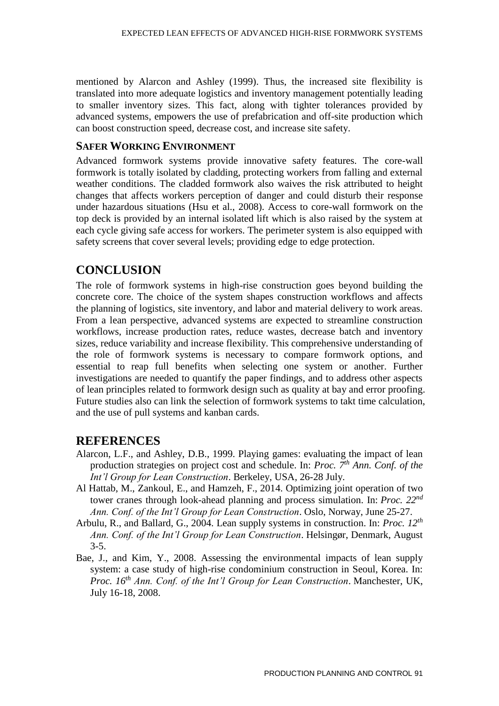mentioned by Alarcon and Ashley (1999). Thus, the increased site flexibility is translated into more adequate logistics and inventory management potentially leading to smaller inventory sizes. This fact, along with tighter tolerances provided by advanced systems, empowers the use of prefabrication and off-site production which can boost construction speed, decrease cost, and increase site safety.

#### **SAFER WORKING ENVIRONMENT**

Advanced formwork systems provide innovative safety features. The core-wall formwork is totally isolated by cladding, protecting workers from falling and external weather conditions. The cladded formwork also waives the risk attributed to height changes that affects workers perception of danger and could disturb their response under hazardous situations (Hsu et al., 2008). Access to core-wall formwork on the top deck is provided by an internal isolated lift which is also raised by the system at each cycle giving safe access for workers. The perimeter system is also equipped with safety screens that cover several levels; providing edge to edge protection.

### **CONCLUSION**

The role of formwork systems in high-rise construction goes beyond building the concrete core. The choice of the system shapes construction workflows and affects the planning of logistics, site inventory, and labor and material delivery to work areas. From a lean perspective, advanced systems are expected to streamline construction workflows, increase production rates, reduce wastes, decrease batch and inventory sizes, reduce variability and increase flexibility. This comprehensive understanding of the role of formwork systems is necessary to compare formwork options, and essential to reap full benefits when selecting one system or another. Further investigations are needed to quantify the paper findings, and to address other aspects of lean principles related to formwork design such as quality at bay and error proofing. Future studies also can link the selection of formwork systems to takt time calculation, and the use of pull systems and kanban cards.

#### **REFERENCES**

- Alarcon, L.F., and Ashley, D.B., 1999. Playing games: evaluating the impact of lean production strategies on project cost and schedule. In: *Proc. 7th Ann. Conf. of the Int'l Group for Lean Construction*. Berkeley, USA, 26-28 July.
- Al Hattab, M., Zankoul, E., and Hamzeh, F., 2014. Optimizing joint operation of two tower cranes through look-ahead planning and process simulation. In: *Proc. 22nd Ann. Conf. of the Int'l Group for Lean Construction*. Oslo, Norway, June 25-27.
- Arbulu, R., and Ballard, G., 2004. Lean supply systems in construction. In: *Proc. 12th Ann. Conf. of the Int'l Group for Lean Construction*. Helsingør, Denmark, August 3-5.
- Bae, J., and Kim, Y., 2008. Assessing the environmental impacts of lean supply system: a case study of high-rise condominium construction in Seoul, Korea. In: *Proc. 16th Ann. Conf. of the Int'l Group for Lean Construction*. Manchester, UK, July 16-18, 2008.